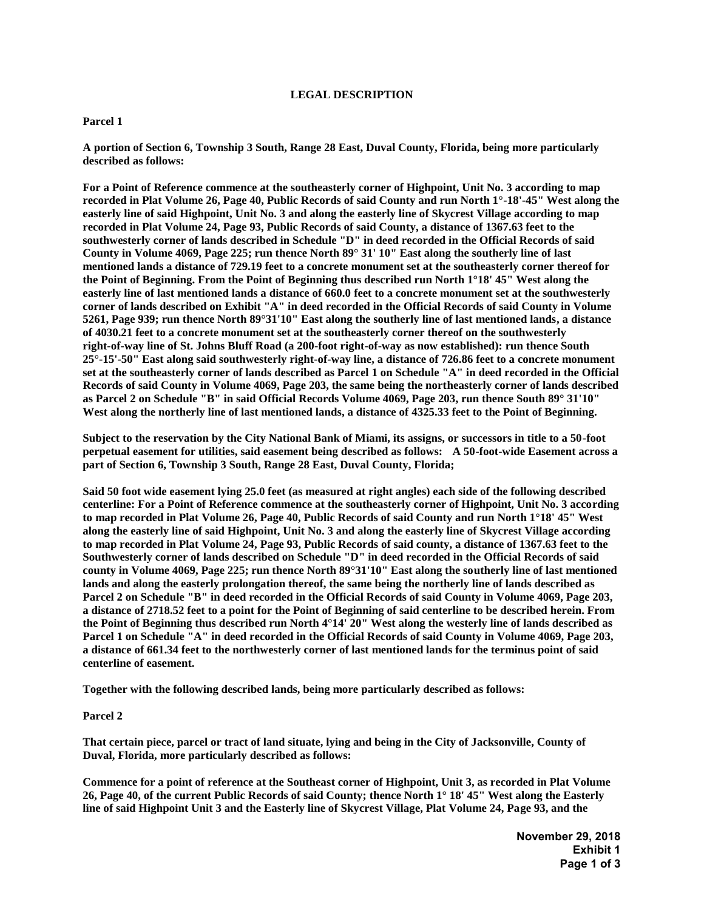# **LEGAL DESCRIPTION**

## **Parcel 1**

**A portion of Section 6, Township 3 South, Range 28 East, Duval County, Florida, being more particularly described as follows:** 

**For a Point of Reference commence at the southeasterly corner of Highpoint, Unit No. 3 according to map recorded in Plat Volume 26, Page 40, Public Records of said County and run North 1°-18'-45" West along the easterly line of said Highpoint, Unit No. 3 and along the easterly line of Skycrest Village according to map recorded in Plat Volume 24, Page 93, Public Records of said County, a distance of 1367.63 feet to the southwesterly corner of lands described in Schedule "D" in deed recorded in the Official Records of said County in Volume 4069, Page 225; run thence North 89° 31' 10" East along the southerly line of last mentioned lands a distance of 729.19 feet to a concrete monument set at the southeasterly corner thereof for the Point of Beginning. From the Point of Beginning thus described run North 1°18' 45" West along the easterly line of last mentioned lands a distance of 660.0 feet to a concrete monument set at the southwesterly corner of lands described on Exhibit "A" in deed recorded in the Official Records of said County in Volume 5261, Page 939; run thence North 89°31'10" East along the southerly line of last mentioned lands, a distance of 4030.21 feet to a concrete monument set at the southeasterly corner thereof on the southwesterly right-of-way line of St. Johns Bluff Road (a 200-foot right-of-way as now established): run thence South 25°-15'-50" East along said southwesterly right-of-way line, a distance of 726.86 feet to a concrete monument set at the southeasterly corner of lands described as Parcel 1 on Schedule "A" in deed recorded in the Official Records of said County in Volume 4069, Page 203, the same being the northeasterly corner of lands described as Parcel 2 on Schedule "B" in said Official Records Volume 4069, Page 203, run thence South 89° 31'10"**  West along the northerly line of last mentioned lands, a distance of 4325.33 feet to the Point of Beginning.

**Subject to the reservation by the City National Bank of Miami, its assigns, or successors in title to a 50-foot perpetual easement for utilities, said easement being described as follows: A 50-foot-wide Easement across a part of Section 6, Township 3 South, Range 28 East, Duval County, Florida;** 

**Said 50 foot wide easement lying 25.0 feet (as measured at right angles) each side of the following described centerline: For a Point of Reference commence at the southeasterly corner of Highpoint, Unit No. 3 according to map recorded in Plat Volume 26, Page 40, Public Records of said County and run North 1°18' 45" West along the easterly line of said Highpoint, Unit No. 3 and along the easterly line of Skycrest Village according to map recorded in Plat Volume 24, Page 93, Public Records of said county, a distance of 1367.63 feet to the Southwesterly corner of lands described on Schedule "D" in deed recorded in the Official Records of said county in Volume 4069, Page 225; run thence North 89°31'10" East along the southerly line of last mentioned lands and along the easterly prolongation thereof, the same being the northerly line of lands described as Parcel 2 on Schedule "B" in deed recorded in the Official Records of said County in Volume 4069, Page 203, a distance of 2718.52 feet to a point for the Point of Beginning of said centerline to be described herein. From the Point of Beginning thus described run North 4°14' 20" West along the westerly line of lands described as Parcel 1 on Schedule "A" in deed recorded in the Official Records of said County in Volume 4069, Page 203, a distance of 661.34 feet to the northwesterly corner of last mentioned lands for the terminus point of said centerline of easement.**

**Together with the following described lands, being more particularly described as follows:**

## **Parcel 2**

**That certain piece, parcel or tract of land situate, lying and being in the City of Jacksonville, County of Duval, Florida, more particularly described as follows:**

**Commence for a point of reference at the Southeast corner of Highpoint, Unit 3, as recorded in Plat Volume 26, Page 40, of the current Public Records of said County; thence North 1° 18' 45" West along the Easterly line of said Highpoint Unit 3 and the Easterly line of Skycrest Village, Plat Volume 24, Page 93, and the** 

> **November 29, 2018 Exhibit 1 Page 1 of 3**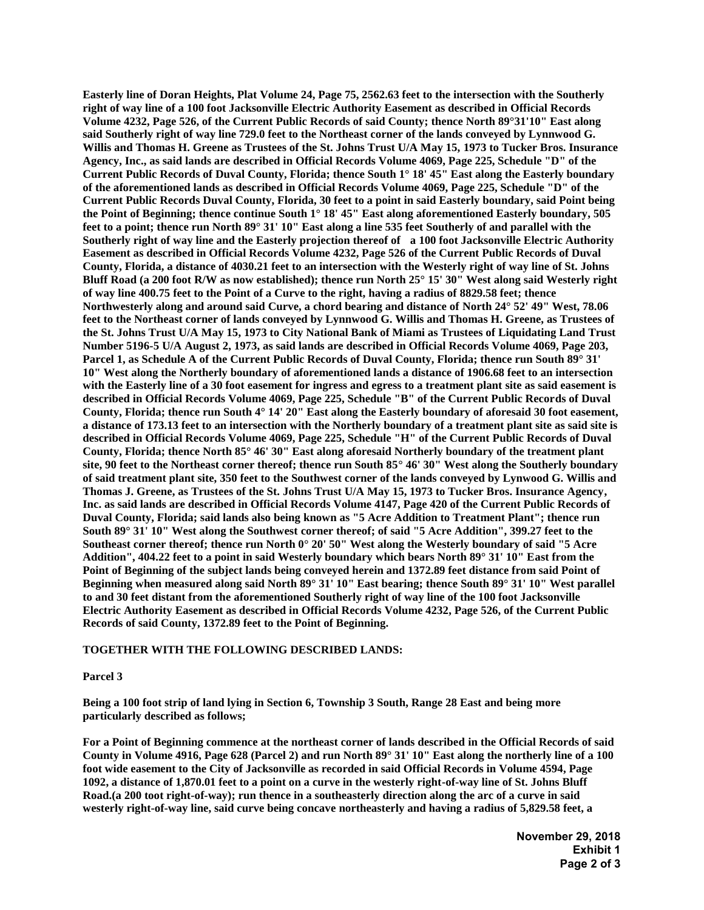**Easterly line of Doran Heights, Plat Volume 24, Page 75, 2562.63 feet to the intersection with the Southerly right of way line of a 100 foot Jacksonville Electric Authority Easement as described in Official Records Volume 4232, Page 526, of the Current Public Records of said County; thence North 89°31'10" East along said Southerly right of way line 729.0 feet to the Northeast corner of the lands conveyed by Lynnwood G. Willis and Thomas H. Greene as Trustees of the St. Johns Trust U/A May 15, 1973 to Tucker Bros. Insurance Agency, Inc., as said lands are described in Official Records Volume 4069, Page 225, Schedule "D" of the Current Public Records of Duval County, Florida; thence South 1° 18' 45" East along the Easterly boundary of the aforementioned lands as described in Official Records Volume 4069, Page 225, Schedule "D" of the Current Public Records Duval County, Florida, 30 feet to a point in said Easterly boundary, said Point being the Point of Beginning; thence continue South 1° 18' 45" East along aforementioned Easterly boundary, 505 feet to a point; thence run North 89° 31' 10" East along a line 535 feet Southerly of and parallel with the Southerly right of way line and the Easterly projection thereof of a 100 foot Jacksonville Electric Authority Easement as described in Official Records Volume 4232, Page 526 of the Current Public Records of Duval County, Florida, a distance of 4030.21 feet to an intersection with the Westerly right of way line of St. Johns Bluff Road (a 200 foot R/W as now established); thence run North 25° 15' 30" West along said Westerly right of way line 400.75 feet to the Point of a Curve to the right, having a radius of 8829.58 feet; thence Northwesterly along and around said Curve, a chord bearing and distance of North 24° 52' 49" West, 78.06 feet to the Northeast corner of lands conveyed by Lynnwood G. Willis and Thomas H. Greene, as Trustees of the St. Johns Trust U/A May 15, 1973 to City National Bank of Miami as Trustees of Liquidating Land Trust Number 5196-5 U/A August 2, 1973, as said lands are described in Official Records Volume 4069, Page 203, Parcel 1, as Schedule A of the Current Public Records of Duval County, Florida; thence run South 89° 31' 10" West along the Northerly boundary of aforementioned lands a distance of 1906.68 feet to an intersection with the Easterly line of a 30 foot easement for ingress and egress to a treatment plant site as said easement is described in Official Records Volume 4069, Page 225, Schedule "B" of the Current Public Records of Duval County, Florida; thence run South 4° 14' 20" East along the Easterly boundary of aforesaid 30 foot easement, a distance of 173.13 feet to an intersection with the Northerly boundary of a treatment plant site as said site is described in Official Records Volume 4069, Page 225, Schedule "H" of the Current Public Records of Duval County, Florida; thence North 85° 46' 30" East along aforesaid Northerly boundary of the treatment plant site, 90 feet to the Northeast corner thereof; thence run South 85° 46' 30" West along the Southerly boundary of said treatment plant site, 350 feet to the Southwest corner of the lands conveyed by Lynwood G. Willis and Thomas J. Greene, as Trustees of the St. Johns Trust U/A May 15, 1973 to Tucker Bros. Insurance Agency, Inc. as said lands are described in Official Records Volume 4147, Page 420 of the Current Public Records of Duval County, Florida; said lands also being known as "5 Acre Addition to Treatment Plant"; thence run South 89° 31' 10" West along the Southwest corner thereof; of said "5 Acre Addition", 399.27 feet to the Southeast corner thereof; thence run North 0° 20' 50" West along the Westerly boundary of said "5 Acre Addition", 404.22 feet to a point in said Westerly boundary which bears North 89° 31' 10" East from the Point of Beginning of the subject lands being conveyed herein and 1372.89 feet distance from said Point of Beginning when measured along said North 89° 31' 10" East bearing; thence South 89° 31' 10" West parallel to and 30 feet distant from the aforementioned Southerly right of way line of the 100 foot Jacksonville Electric Authority Easement as described in Official Records Volume 4232, Page 526, of the Current Public Records of said County, 1372.89 feet to the Point of Beginning.**

### **TOGETHER WITH THE FOLLOWING DESCRIBED LANDS:**

### **Parcel 3**

**Being a 100 foot strip of land lying in Section 6, Township 3 South, Range 28 East and being more particularly described as follows;**

**For a Point of Beginning commence at the northeast corner of lands described in the Official Records of said County in Volume 4916, Page 628 (Parcel 2) and run North 89° 31' 10" East along the northerly line of a 100 foot wide easement to the City of Jacksonville as recorded in said Official Records in Volume 4594, Page 1092, a distance of 1,870.01 feet to a point on a curve in the westerly right-of-way line of St. Johns Bluff Road.(a 200 toot right-of-way); run thence in a southeasterly direction along the arc of a curve in said westerly right-of-way line, said curve being concave northeasterly and having a radius of 5,829.58 feet, a** 

> **November 29, 2018 Exhibit 1 Page 2 of 3**